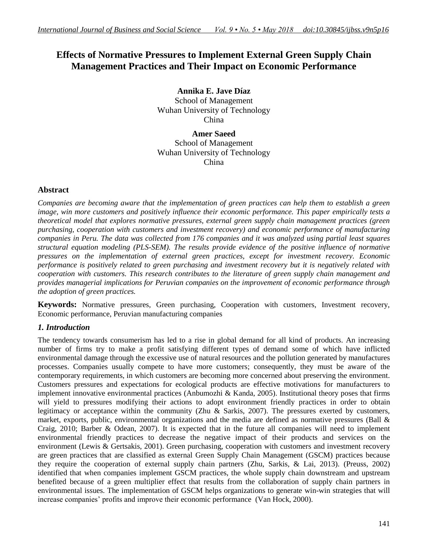# **Effects of Normative Pressures to Implement External Green Supply Chain Management Practices and Their Impact on Economic Performance**

**Annika E. Jave Díaz** School of Management Wuhan University of Technology China

**Amer Saeed** School of Management Wuhan University of Technology China

# **Abstract**

*Companies are becoming aware that the implementation of green practices can help them to establish a green image, win more customers and positively influence their economic performance. This paper empirically tests a theoretical model that explores normative pressures, external green supply chain management practices (green purchasing, cooperation with customers and investment recovery) and economic performance of manufacturing companies in Peru. The data was collected from 176 companies and it was analyzed using partial least squares structural equation modeling (PLS-SEM). The results provide evidence of the positive influence of normative pressures on the implementation of external green practices, except for investment recovery. Economic performance is positively related to green purchasing and investment recovery but it is negatively related with cooperation with customers. This research contributes to the literature of green supply chain management and provides managerial implications for Peruvian companies on the improvement of economic performance through the adoption of green practices.*

**Keywords:** Normative pressures, Green purchasing, Cooperation with customers, Investment recovery, Economic performance, Peruvian manufacturing companies

# *1. Introduction*

<span id="page-0-0"></span>The tendency towards consumerism has led to a rise in global demand for all kind of products. An increasing number of firms try to make a profit satisfying different types of demand some of which have inflicted environmental damage through the excessive use of natural resources and the pollution generated by manufactures processes. Companies usually compete to have more customers; consequently, they must be aware of the contemporary requirements, in which customers are becoming more concerned about preserving the environment. Customers pressures and expectations for ecological products are effective motivations for manufacturers to implement innovative environmental practices [\(Anbumozhi & Kanda, 2005\)](#page-0-0). Institutional theory poses that firms will yield to pressures modifying their actions to adopt environment friendly practices in order to obtain legitimacy or acceptance within the community [\(Zhu & Sarkis, 2007\)](#page-0-0). The pressures exerted by customers, market, exports, public, environmental organizations and the media are defined as normative pressures [\(Ball &](#page-0-0)  [Craig, 2010; Barber & Odean, 2007\)](#page-0-0). It is expected that in the future all companies will need to implement environmental friendly practices to decrease the negative impact of their products and services on the environment [\(Lewis & Gertsakis, 2001\)](#page-0-0). Green purchasing, cooperation with customers and investment recovery are green practices that are classified as external Green Supply Chain Management (GSCM) practices because they require the cooperation of external supply chain partners [\(Zhu, Sarkis, & Lai, 2013\)](#page-0-0). [\(Preuss, 2002\)](#page-0-0) identified that when companies implement GSCM practices, the whole supply chain downstream and upstream benefited because of a green multiplier effect that results from the collaboration of supply chain partners in environmental issues. The implementation of GSCM helps organizations to generate win-win strategies that will increase companies' profits and improve their economic performance [\(Van Hock, 2000\)](#page-0-0).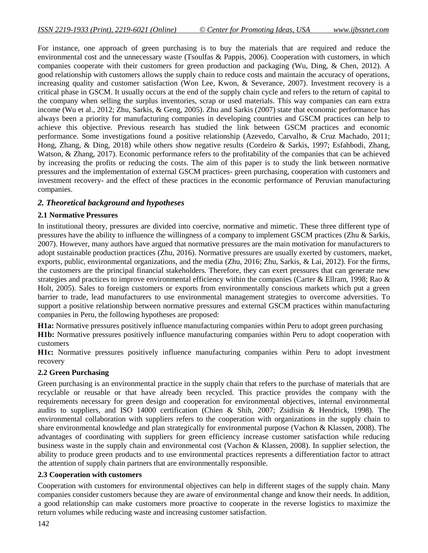For instance, one approach of green purchasing is to buy the materials that are required and reduce the environmental cost and the unnecessary waste [\(Tsoulfas & Pappis, 2006\)](#page-0-0). Cooperation with customers, in which companies cooperate with their customers for green production and packaging [\(Wu, Ding, & Chen, 2012\)](#page-0-0). A good relationship with customers allows the supply chain to reduce costs and maintain the accuracy of operations, increasing quality and customer satisfaction [\(Won Lee, Kwon, & Severance, 2007\)](#page-0-0). Investment recovery is a critical phase in GSCM. It usually occurs at the end of the supply chain cycle and refers to the return of capital to the company when selling the surplus inventories, scrap or used materials. This way companies can earn extra income [\(Wu et al., 2012; Zhu, Sarkis, & Geng, 2005\)](#page-0-0). [Zhu and Sarkis \(2007\)](#page-0-0) state that economic performance has always been a priority for manufacturing companies in developing countries and GSCM practices can help to achieve this objective. Previous research has studied the link between GSCM practices and economic performance. Some investigations found a positive relationship [\(Azevedo, Carvalho, & Cruz Machado, 2011;](#page-0-0) [Hong, Zhang, & Ding, 2018\)](#page-0-0) while others show negative results [\(Cordeiro & Sarkis, 1997; Esfahbodi, Zhang,](#page-0-0)  [Watson, & Zhang, 2017\)](#page-0-0). Economic performance refers to the profitability of the companies that can be achieved by increasing the profits or reducing the costs. The aim of this paper is to study the link between normative pressures and the implementation of external GSCM practices- green purchasing, cooperation with customers and investment recovery- and the effect of these practices in the economic performance of Peruvian manufacturing companies.

# *2. Theoretical background and hypotheses*

# **2.1 Normative Pressures**

In institutional theory, pressures are divided into coercive, normative and mimetic. These three different type of pressures have the ability to influence the willingness of a company to implement GSCM practices [\(Zhu & Sarkis,](#page-0-0)  [2007\)](#page-0-0). However, many authors have argued that normative pressures are the main motivation for manufacturers to adopt sustainable production practices [\(Zhu, 2016\)](#page-0-0). Normative pressures are usually exerted by customers, market, exports, public, environmental organizations, and the media [\(Zhu, 2016; Zhu, Sarkis, & Lai, 2012\)](#page-0-0). For the firms, the customers are the principal financial stakeholders. Therefore, they can exert pressures that can generate new strategies and practices to improve environmental efficiency within the companies [\(Carter & Ellram, 1998; Rao &](#page-0-0)  [Holt, 2005\)](#page-0-0). Sales to foreign customers or exports from environmentally conscious markets which put a green barrier to trade, lead manufacturers to use environmental management strategies to overcome adversities. To support a positive relationship between normative pressures and external GSCM practices within manufacturing companies in Peru, the following hypotheses are proposed:

**H1a:** Normative pressures positively influence manufacturing companies within Peru to adopt green purchasing **H1b:** Normative pressures positively influence manufacturing companies within Peru to adopt cooperation with

customers

**H1c:** Normative pressures positively influence manufacturing companies within Peru to adopt investment recovery

# **2.2 Green Purchasing**

Green purchasing is an environmental practice in the supply chain that refers to the purchase of materials that are recyclable or reusable or that have already been recycled. This practice provides the company with the requirements necessary for green design and cooperation for environmental objectives, internal environmental audits to suppliers, and ISO 14000 certification [\(Chien & Shih, 2007;](#page-0-0) [Zsidisin & Hendrick, 1998\)](#page-0-0). The environmental collaboration with suppliers refers to the cooperation with organizations in the supply chain to share environmental knowledge and plan strategically for environmental purpose [\(Vachon & Klassen, 2008\)](#page-0-0). The advantages of coordinating with suppliers for green efficiency increase customer satisfaction while reducing business waste in the supply chain and environmental cost [\(Vachon & Klassen, 2008\)](#page-0-0). In supplier selection, the ability to produce green products and to use environmental practices represents a differentiation factor to attract the attention of supply chain partners that are environmentally responsible.

# **2.3 Cooperation with customers**

Cooperation with customers for environmental objectives can help in different stages of the supply chain. Many companies consider customers because they are aware of environmental change and know their needs. In addition, a good relationship can make customers more proactive to cooperate in the reverse logistics to maximize the return volumes while reducing waste and increasing customer satisfaction.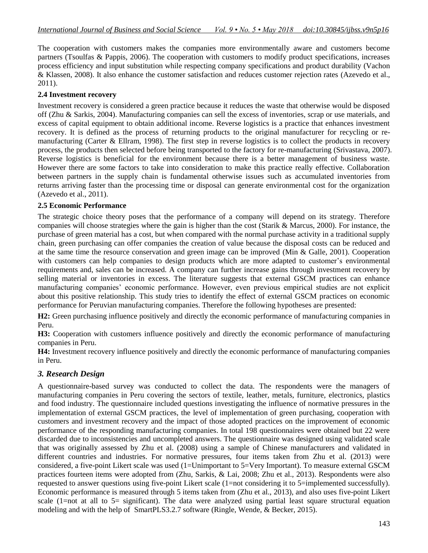The cooperation with customers makes the companies more environmentally aware and customers become partners [\(Tsoulfas & Pappis, 2006\)](#page-0-0). The cooperation with customers to modify product specifications, increases process efficiency and input substitution while respecting company specifications and product durability [\(Vachon](#page-0-0)  [& Klassen, 2008\)](#page-0-0). It also enhance the customer satisfaction and reduces customer rejection rates [\(Azevedo et al.,](#page-0-0)  [2011\)](#page-0-0).

# **2.4 Investment recovery**

Investment recovery is considered a green practice because it reduces the waste that otherwise would be disposed off [\(Zhu & Sarkis, 2004\)](#page-0-0). Manufacturing companies can sell the excess of inventories, scrap or use materials, and excess of capital equipment to obtain additional income. Reverse logistics is a practice that enhances investment recovery. It is defined as the process of returning products to the original manufacturer for recycling or remanufacturing [\(Carter & Ellram, 1998\)](#page-0-0). The first step in reverse logistics is to collect the products in recovery process, the products then selected before being transported to the factory for re-manufacturing [\(Srivastava, 2007\)](#page-0-0). Reverse logistics is beneficial for the environment because there is a better management of business waste. However there are some factors to take into consideration to make this practice really effective. Collaboration between partners in the supply chain is fundamental otherwise issues such as accumulated inventories from returns arriving faster than the processing time or disposal can generate environmental cost for the organization [\(Azevedo et al., 2011\)](#page-0-0).

#### **2.5 Economic Performance**

The strategic choice theory poses that the performance of a company will depend on its strategy. Therefore companies will choose strategies where the gain is higher than the cost [\(Starik & Marcus, 2000\)](#page-0-0). For instance, the purchase of green material has a cost, but when compared with the normal purchase activity in a traditional supply chain, green purchasing can offer companies the creation of value because the disposal costs can be reduced and at the same time the resource conservation and green image can be improved [\(Min & Galle, 2001\)](#page-0-0). Cooperation with customers can help companies to design products which are more adapted to customer's environmental requirements and, sales can be increased. A company can further increase gains through investment recovery by selling material or inventories in excess. The literature suggests that external GSCM practices can enhance manufacturing companies' economic performance. However, even previous empirical studies are not explicit about this positive relationship. This study tries to identify the effect of external GSCM practices on economic performance for Peruvian manufacturing companies. Therefore the following hypotheses are presented:

**H2:** Green purchasing influence positively and directly the economic performance of manufacturing companies in Peru.

**H3:** Cooperation with customers influence positively and directly the economic performance of manufacturing companies in Peru.

**H4:** Investment recovery influence positively and directly the economic performance of manufacturing companies in Peru.

# *3. Research Design*

A questionnaire-based survey was conducted to collect the data. The respondents were the managers of manufacturing companies in Peru covering the sectors of textile, leather, metals, furniture, electronics, plastics and food industry. The questionnaire included questions investigating the influence of normative pressures in the implementation of external GSCM practices, the level of implementation of green purchasing, cooperation with customers and investment recovery and the impact of those adopted practices on the improvement of economic performance of the responding manufacturing companies. In total 198 questionnaires were obtained but 22 were discarded due to inconsistencies and uncompleted answers. The questionnaire was designed using validated scale that was originally assessed by [Zhu et al. \(2008\)](#page-0-0) using a sample of Chinese manufacturers and validated in different countries and industries. For normative pressures, four items taken from [Zhu et al. \(2013\)](#page-0-0) were considered, a five-point Likert scale was used (1=Unimportant to 5=Very Important). To measure external GSCM practices fourteen items were adopted from [\(Zhu, Sarkis, & Lai, 2008; Zhu et al., 2013\)](#page-0-0). Respondents were also requested to answer questions using five-point Likert scale (1=not considering it to 5=implemented successfully). Economic performance is measured through 5 items taken from [\(Zhu et al., 2013\)](#page-0-0), and also uses five-point Likert scale (1=not at all to 5= significant). The data were analyzed using partial least square structural equation modeling and with the help of SmartPLS3.2.7 software [\(Ringle, Wende, & Becker, 2015\)](#page-0-0).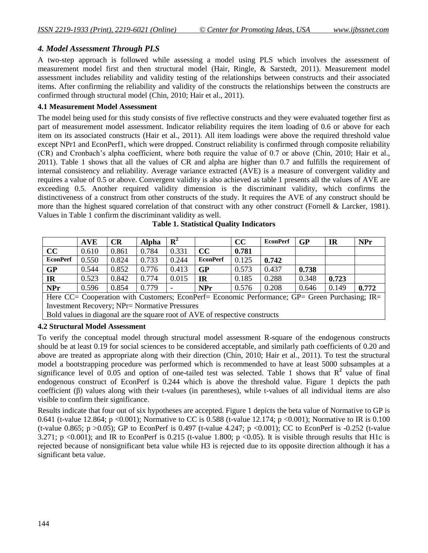# *4. Model Assessment Through PLS*

A two-step approach is followed while assessing a model using PLS which involves the assessment of measurement model first and then structural model [\(Hair, Ringle, & Sarstedt, 2011\)](#page-0-0). Measurement model assessment includes reliability and validity testing of the relationships between constructs and their associated items. After confirming the reliability and validity of the constructs the relationships between the constructs are confirmed through structural model [\(Chin, 2010; Hair et al., 2011\)](#page-0-0).

#### **4.1 Measurement Model Assessment**

The model being used for this study consists of five reflective constructs and they were evaluated together first as part of measurement model assessment. Indicator reliability requires the item loading of 0.6 or above for each item on its associated constructs [\(Hair et al., 2011\)](#page-0-0). All item loadings were above the required threshold value except NPr1 and EconPerf1, which were dropped. Construct reliability is confirmed through composite reliability (CR) and Cronbach's alpha coefficient, where both require the value of 0.7 or above [\(Chin, 2010; Hair et al.,](#page-0-0)  [2011\)](#page-0-0). Table 1 shows that all the values of CR and alpha are higher than 0.7 and fulfills the requirement of internal consistency and reliability. Average variance extracted (AVE) is a measure of convergent validity and requires a value of 0.5 or above. Convergent validity is also achieved as table 1 presents all the values of AVE are exceeding 0.5. Another required validity dimension is the discriminant validity, which confirms the distinctiveness of a construct from other constructs of the study. It requires the AVE of any construct should be more than the highest squared correlation of that construct with any other construct [\(Fornell & Larcker, 1981\)](#page-0-0). Values in Table 1 confirm the discriminant validity as well.

|                 | <b>AVE</b> | CR    | Alpha | $\mathbf{R}^2$ |                 | cc    | <b>EconPerf</b> | <b>GP</b> | <b>IR</b> | <b>NPr</b> |
|-----------------|------------|-------|-------|----------------|-----------------|-------|-----------------|-----------|-----------|------------|
| cc              | 0.610      | 0.861 | 0.784 | 0.331          | cc              | 0.781 |                 |           |           |            |
| <b>EconPerf</b> | 0.550      | 0.824 | 0.733 | 0.244          | <b>EconPerf</b> | 0.125 | 0.742           |           |           |            |
| <b>GP</b>       | 0.544      | 0.852 | 0.776 | 0.413          | <b>GP</b>       | 0.573 | 0.437           | 0.738     |           |            |
| <b>IR</b>       | 0.523      | 0.842 | 0.774 | 0.015          | IR              | 0.185 | 0.288           | 0.348     | 0.723     |            |
| <b>NPr</b>      | 0.596      | 0.854 | 0.779 |                | <b>NPr</b>      | 0.576 | 0.208           | 0.646     | 0.149     | 0.772      |
|                 |            |       |       |                |                 |       |                 |           |           |            |

**Table 1. Statistical Quality Indicators**

Here CC= Cooperation with Customers; EconPerf= Economic Performance; GP= Green Purchasing; IR= Investment Recovery; NPr= Normative Pressures

Bold values in diagonal are the square root of AVE of respective constructs

# **4.2 Structural Model Assessment**

To verify the conceptual model through structural model assessment R-square of the endogenous constructs should be at least 0.19 for social sciences to be considered acceptable, and similarly path coefficients of 0.20 and above are treated as appropriate along with their direction [\(Chin, 2010; Hair et al., 2011\)](#page-0-0). To test the structural model a bootstrapping procedure was performed which is recommended to have at least 5000 subsamples at a significance level of  $0.05$  and option of one-tailed test was selected. Table 1 shows that  $R^2$  value of final endogenous construct of EconPerf is 0.244 which is above the threshold value. Figure 1 depicts the path coefficient (β) values along with their t-values (in parentheses), while t-values of all individual items are also visible to confirm their significance.

Results indicate that four out of six hypotheses are accepted. Figure 1 depicts the beta value of Normative to GP is 0.641 (t-value 12.864; p <0.001); Normative to CC is 0.588 (t-value 12.174; p <0.001); Normative to IR is 0.100 (t-value 0.865; p > 0.05); GP to EconPerf is 0.497 (t-value 4.247; p < 0.001); CC to EconPerf is -0.252 (t-value 3.271; p <0.001); and IR to EconPerf is 0.215 (t-value 1.800; p <0.05). It is visible through results that H1c is rejected because of nonsignificant beta value while H3 is rejected due to its opposite direction although it has a significant beta value.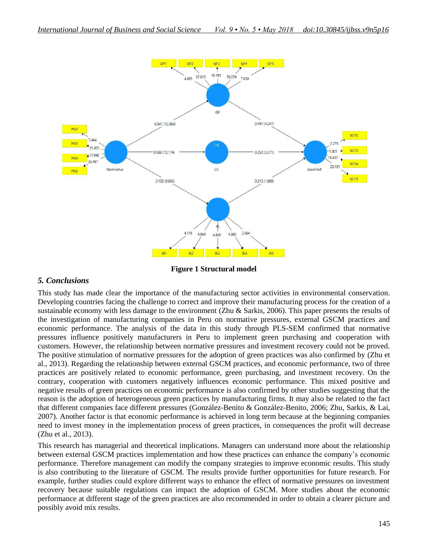

**Figure 1 Structural model**

# *5. Conclusions*

This study has made clear the importance of the manufacturing sector activities in environmental conservation. Developing countries facing the challenge to correct and improve their manufacturing process for the creation of a sustainable economy with less damage to the environment [\(Zhu & Sarkis, 2006\)](#page-0-0). This paper presents the results of the investigation of manufacturing companies in Peru on normative pressures, external GSCM practices and economic performance. The analysis of the data in this study through PLS-SEM confirmed that normative pressures influence positively manufacturers in Peru to implement green purchasing and cooperation with customers. However, the relationship between normative pressures and investment recovery could not be proved. The positive stimulation of normative pressures for the adoption of green practices was also confirmed by [\(Zhu et](#page-0-0)  [al., 2013\)](#page-0-0). Regarding the relationship between external GSCM practices, and economic performance, two of three practices are positively related to economic performance, green purchasing, and investment recovery. On the contrary, cooperation with customers negatively influences economic performance. This mixed positive and negative results of green practices on economic performance is also confirmed by other studies suggesting that the reason is the adoption of heterogeneous green practices by manufacturing firms. It may also be related to the fact that different companies face different pressures [\(González-Benito & González-Benito, 2006; Zhu, Sarkis, & Lai,](#page-0-0)  [2007\)](#page-0-0). Another factor is that economic performance is achieved in long term because at the beginning companies need to invest money in the implementation process of green practices, in consequences the profit will decrease [\(Zhu et al., 2013\)](#page-0-0).

This research has managerial and theoretical implications. Managers can understand more about the relationship between external GSCM practices implementation and how these practices can enhance the company's economic performance. Therefore management can modify the company strategies to improve economic results. This study is also contributing to the literature of GSCM. The results provide further opportunities for future research. For example, further studies could explore different ways to enhance the effect of normative pressures on investment recovery because suitable regulations can impact the adoption of GSCM. More studies about the economic performance at different stage of the green practices are also recommended in order to obtain a clearer picture and possibly avoid mix results.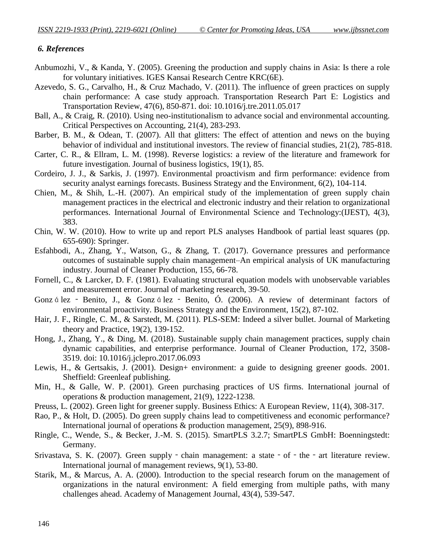# *6. References*

- Anbumozhi, V., & Kanda, Y. (2005). Greening the production and supply chains in Asia: Is there a role for voluntary initiatives. IGES Kansai Research Centre KRC(6E).
- Azevedo, S. G., Carvalho, H., & Cruz Machado, V. (2011). The influence of green practices on supply chain performance: A case study approach. Transportation Research Part E: Logistics and Transportation Review, 47(6), 850-871. doi: 10.1016/j.tre.2011.05.017
- Ball, A., & Craig, R. (2010). Using neo-institutionalism to advance social and environmental accounting. Critical Perspectives on Accounting, 21(4), 283-293.
- Barber, B. M., & Odean, T. (2007). All that glitters: The effect of attention and news on the buying behavior of individual and institutional investors. The review of financial studies, 21(2), 785-818.
- Carter, C. R., & Ellram, L. M. (1998). Reverse logistics: a review of the literature and framework for future investigation. Journal of business logistics, 19(1), 85.
- Cordeiro, J. J., & Sarkis, J. (1997). Environmental proactivism and firm performance: evidence from security analyst earnings forecasts. Business Strategy and the Environment, 6(2), 104-114.
- Chien, M., & Shih, L.-H. (2007). An empirical study of the implementation of green supply chain management practices in the electrical and electronic industry and their relation to organizational performances. International Journal of Environmental Science and Technology:(IJEST), 4(3), 383.
- Chin, W. W. (2010). How to write up and report PLS analyses Handbook of partial least squares (pp. 655-690): Springer.
- Esfahbodi, A., Zhang, Y., Watson, G., & Zhang, T. (2017). Governance pressures and performance outcomes of sustainable supply chain management–An empirical analysis of UK manufacturing industry. Journal of Cleaner Production, 155, 66-78.
- Fornell, C., & Larcker, D. F. (1981). Evaluating structural equation models with unobservable variables and measurement error. Journal of marketing research, 39-50.
- Gonz á lez ‐ Benito, J., & Gonz á lez ‐ Benito, Ó. (2006). A review of determinant factors of environmental proactivity. Business Strategy and the Environment, 15(2), 87-102.
- Hair, J. F., Ringle, C. M., & Sarstedt, M. (2011). PLS-SEM: Indeed a silver bullet. Journal of Marketing theory and Practice, 19(2), 139-152.
- Hong, J., Zhang, Y., & Ding, M. (2018). Sustainable supply chain management practices, supply chain dynamic capabilities, and enterprise performance. Journal of Cleaner Production, 172, 3508- 3519. doi: 10.1016/j.jclepro.2017.06.093
- Lewis, H., & Gertsakis, J. (2001). Design+ environment: a guide to designing greener goods. 2001. Sheffield: Greenleaf publishing.
- Min, H., & Galle, W. P. (2001). Green purchasing practices of US firms. International journal of operations & production management, 21(9), 1222-1238.
- Preuss, L. (2002). Green light for greener supply. Business Ethics: A European Review, 11(4), 308-317.
- Rao, P., & Holt, D. (2005). Do green supply chains lead to competitiveness and economic performance? International journal of operations & production management, 25(9), 898-916.
- Ringle, C., Wende, S., & Becker, J.-M. S. (2015). SmartPLS 3.2.7; SmartPLS GmbH: Boenningstedt: Germany.
- Srivastava, S. K. (2007). Green supply chain management: a state of the art literature review. International journal of management reviews, 9(1), 53-80.
- Starik, M., & Marcus, A. A. (2000). Introduction to the special research forum on the management of organizations in the natural environment: A field emerging from multiple paths, with many challenges ahead. Academy of Management Journal, 43(4), 539-547.